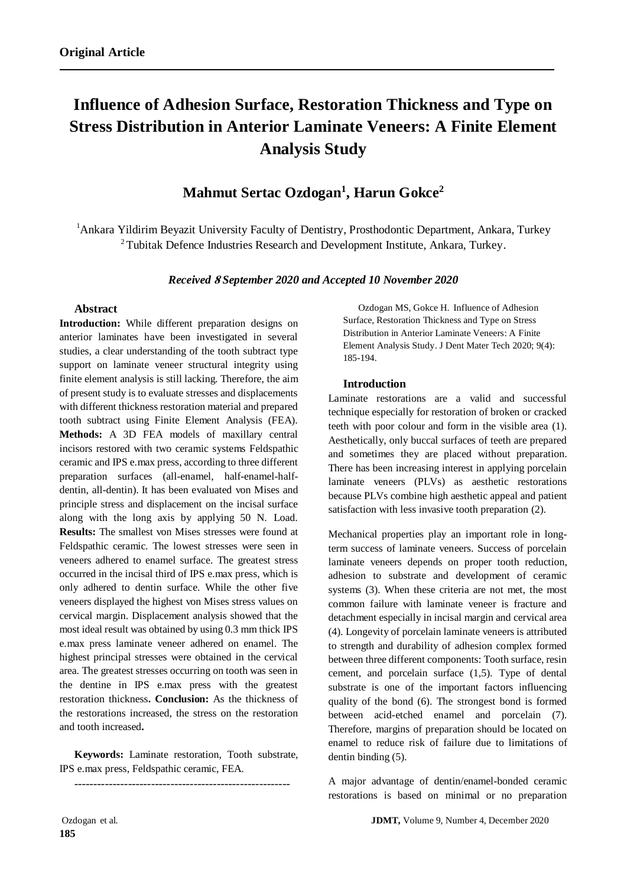# **Influence of Adhesion Surface, Restoration Thickness and Type on Stress Distribution in Anterior Laminate Veneers: A Finite Element Analysis Study**

## **Mahmut Sertac Ozdogan<sup>1</sup> , Harun Gokce<sup>2</sup>**

<sup>1</sup>Ankara Yildirim Beyazit University Faculty of Dentistry, Prosthodontic Department, Ankara, Turkey <sup>2</sup>Tubitak Defence Industries Research and Development Institute, Ankara, Turkey.

#### *Received* **<sup>8</sup>** *September 2020 and Accepted 10 November 2020*

#### **Abstract**

**Introduction:** While different preparation designs on anterior laminates have been investigated in several studies, a clear understanding of the tooth subtract type support on laminate veneer structural integrity using finite element analysis is still lacking. Therefore, the aim of present study is to evaluate stresses and displacements with different thickness restoration material and prepared tooth subtract using Finite Element Analysis (FEA). **Methods:** A 3D FEA models of maxillary central incisors restored with two ceramic systems Feldspathic ceramic and IPS e.max press, according to three different preparation surfaces (all-enamel, half-enamel-halfdentin, all-dentin). It has been evaluated von Mises and principle stress and displacement on the incisal surface along with the long axis by applying 50 N. Load. **Results:** The smallest von Mises stresses were found at Feldspathic ceramic. The lowest stresses were seen in veneers adhered to enamel surface. The greatest stress occurred in the incisal third of IPS e.max press, which is only adhered to dentin surface. While the other five veneers displayed the highest von Mises stress values on cervical margin. Displacement analysis showed that the most ideal result was obtained by using 0.3 mm thick IPS e.max press laminate veneer adhered on enamel. The highest principal stresses were obtained in the cervical area. The greatest stresses occurring on tooth was seen in the dentine in IPS e.max press with the greatest restoration thickness**. Conclusion:** As the thickness of the restorations increased, the stress on the restoration and tooth increased**.**

**Keywords:** Laminate restoration, Tooth substrate, IPS e.max press, Feldspathic ceramic, FEA.

--------------------------------------------------------

Ozdogan MS, Gokce H. Influence of Adhesion Surface, Restoration Thickness and Type on Stress Distribution in Anterior Laminate Veneers: A Finite Element Analysis Study. J Dent Mater Tech 2020; 9(4): 185-194.

#### **Introduction**

Laminate restorations are a valid and successful technique especially for restoration of broken or cracked teeth with poor colour and form in the visible area (1). Aesthetically, only buccal surfaces of teeth are prepared and sometimes they are placed without preparation. There has been increasing interest in applying porcelain laminate veneers (PLVs) as aesthetic restorations because PLVs combine high aesthetic appeal and patient satisfaction with less invasive tooth preparation (2).

Mechanical properties play an important role in longterm success of laminate veneers. Success of porcelain laminate veneers depends on proper tooth reduction, adhesion to substrate and development of ceramic systems (3). When these criteria are not met, the most common failure with laminate veneer is fracture and detachment especially in incisal margin and cervical area (4). Longevity of porcelain laminate veneers is attributed to strength and durability of adhesion complex formed between three different components: Tooth surface, resin cement, and porcelain surface (1,5). Type of dental substrate is one of the important factors influencing quality of the bond (6). The strongest bond is formed between acid-etched enamel and porcelain (7). Therefore, margins of preparation should be located on enamel to reduce risk of failure due to limitations of dentin binding (5).

A major advantage of dentin/enamel-bonded ceramic restorations is based on minimal or no preparation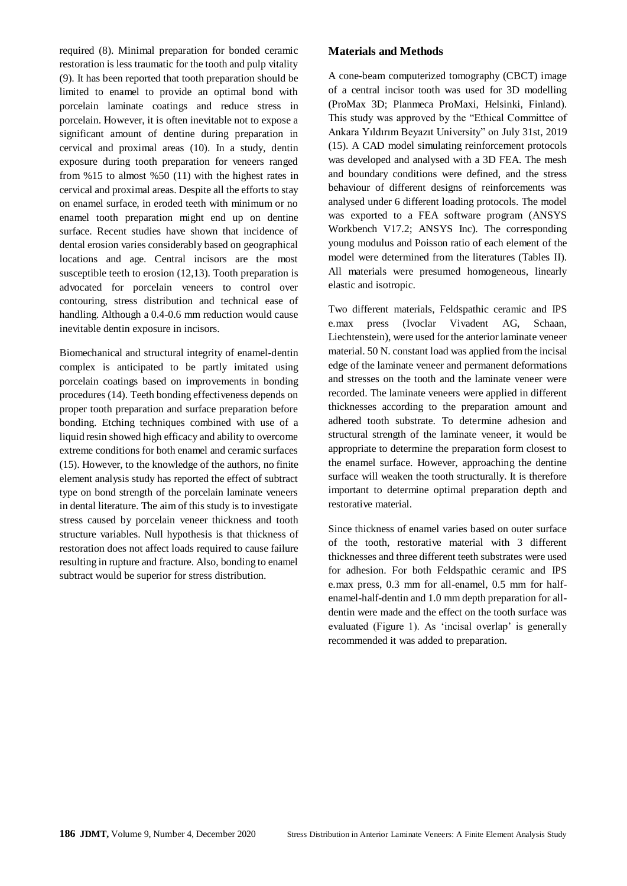required (8). Minimal preparation for bonded ceramic restoration is less traumatic for the tooth and pulp vitality (9). It has been reported that tooth preparation should be limited to enamel to provide an optimal bond with porcelain laminate coatings and reduce stress in porcelain. However, it is often inevitable not to expose a significant amount of dentine during preparation in cervical and proximal areas (10). In a study, dentin exposure during tooth preparation for veneers ranged from %15 to almost %50 (11) with the highest rates in cervical and proximal areas. Despite all the efforts to stay on enamel surface, in eroded teeth with minimum or no enamel tooth preparation might end up on dentine surface. Recent studies have shown that incidence of dental erosion varies considerably based on geographical locations and age. Central incisors are the most susceptible teeth to erosion (12,13). Tooth preparation is advocated for porcelain veneers to control over contouring, stress distribution and technical ease of handling. Although a 0.4-0.6 mm reduction would cause inevitable dentin exposure in incisors.

Biomechanical and structural integrity of enamel-dentin complex is anticipated to be partly imitated using porcelain coatings based on improvements in bonding procedures (14). Teeth bonding effectiveness depends on proper tooth preparation and surface preparation before bonding. Etching techniques combined with use of a liquid resin showed high efficacy and ability to overcome extreme conditions for both enamel and ceramic surfaces (15). However, to the knowledge of the authors, no finite element analysis study has reported the effect of subtract type on bond strength of the porcelain laminate veneers in dental literature. The aim of this study is to investigate stress caused by porcelain veneer thickness and tooth structure variables. Null hypothesis is that thickness of restoration does not affect loads required to cause failure resulting in rupture and fracture. Also, bonding to enamel subtract would be superior for stress distribution.

#### **Materials and Methods**

A cone-beam computerized tomography (CBCT) image of a central incisor tooth was used for 3D modelling (ProMax 3D; Planmeca ProMaxi, Helsinki, Finland). This study was approved by the "Ethical Committee of Ankara Yıldırım Beyazıt University" on July 31st, 2019 (15). A CAD model simulating reinforcement protocols was developed and analysed with a 3D FEA. The mesh and boundary conditions were defined, and the stress behaviour of different designs of reinforcements was analysed under 6 different loading protocols. The model was exported to a FEA software program (ANSYS Workbench V17.2; ANSYS Inc). The corresponding young modulus and Poisson ratio of each element of the model were determined from the literatures (Tables II). All materials were presumed homogeneous, linearly elastic and isotropic.

Two different materials, Feldspathic ceramic and IPS e.max press (Ivoclar Vivadent AG, Schaan, Liechtenstein), were used for the anterior laminate veneer material. 50 N. constant load was applied from the incisal edge of the laminate veneer and permanent deformations and stresses on the tooth and the laminate veneer were recorded. The laminate veneers were applied in different thicknesses according to the preparation amount and adhered tooth substrate. To determine adhesion and structural strength of the laminate veneer, it would be appropriate to determine the preparation form closest to the enamel surface. However, approaching the dentine surface will weaken the tooth structurally. It is therefore important to determine optimal preparation depth and restorative material.

Since thickness of enamel varies based on outer surface of the tooth, restorative material with 3 different thicknesses and three different teeth substrates were used for adhesion. For both Feldspathic ceramic and IPS e.max press, 0.3 mm for all-enamel, 0.5 mm for halfenamel-half-dentin and 1.0 mm depth preparation for alldentin were made and the effect on the tooth surface was evaluated (Figure 1). As 'incisal overlap' is generally recommended it was added to preparation.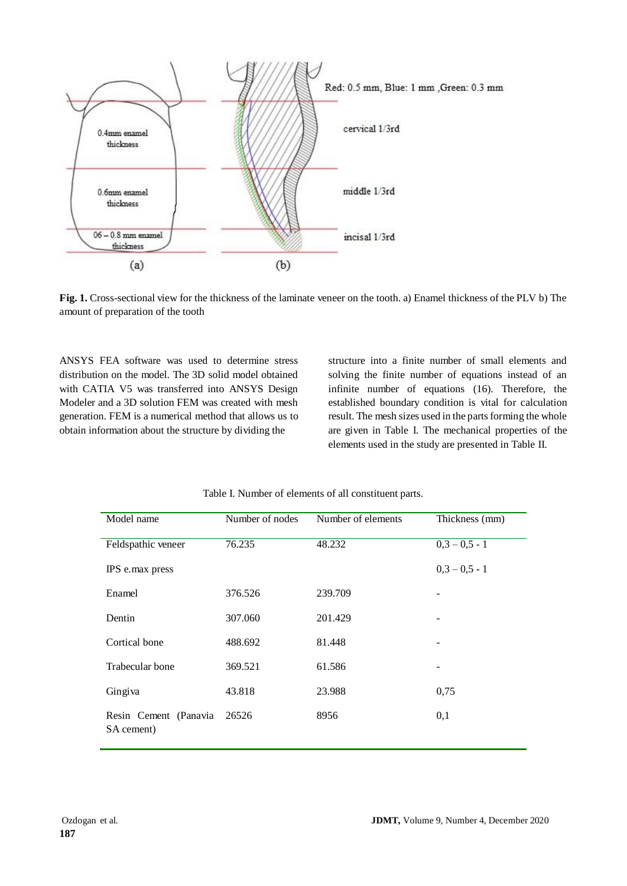



ANSYS FEA software was used to determine stress distribution on the model. The 3D solid model obtained with CATIA V5 was transferred into ANSYS Design Modeler and a 3D solution FEM was created with mesh generation. FEM is a numerical method that allows us to obtain information about the structure by dividing the

structure into a finite number of small elements and solving the finite number of equations instead of an infinite number of equations (16). Therefore, the established boundary condition is vital for calculation result. The mesh sizes used in the parts forming the whole are given in Table I. The mechanical properties of the elements used in the study are presented in Table II.

| Model name                          | Number of nodes | Number of elements | Thickness (mm)  |
|-------------------------------------|-----------------|--------------------|-----------------|
| Feldspathic veneer                  | 76.235          | 48.232             | $0,3 - 0,5 - 1$ |
| IPS e.max press                     |                 |                    | $0,3 - 0,5 - 1$ |
| Enamel                              | 376.526         | 239.709            |                 |
| Dentin                              | 307.060         | 201.429            |                 |
| Cortical bone                       | 488.692         | 81.448             |                 |
| Trabecular bone                     | 369.521         | 61.586             | -               |
| Gingiva                             | 43.818          | 23.988             | 0,75            |
| Resin Cement (Panavia<br>SA cement) | 26526           | 8956               | 0,1             |

Table I. Number of elements of all constituent parts.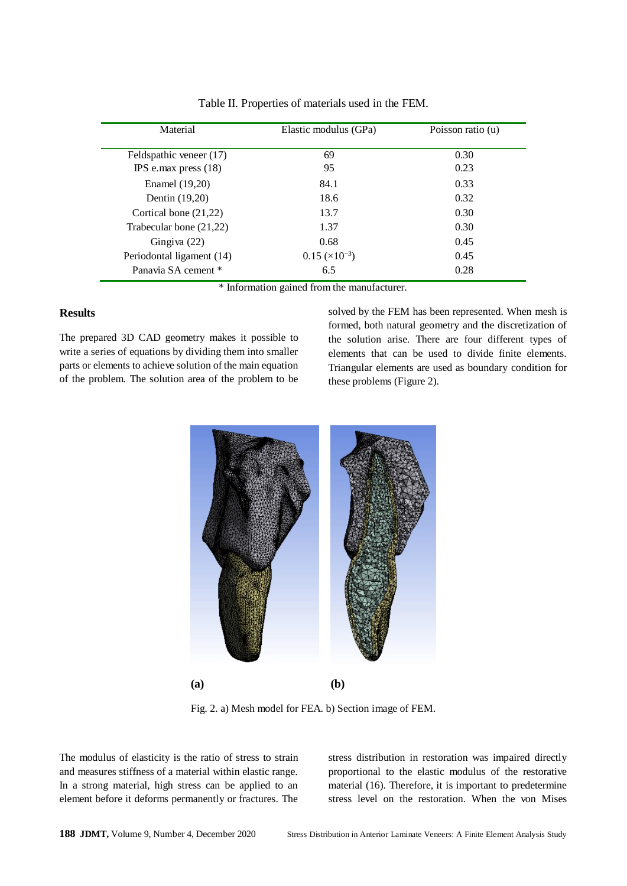| Material                  | Elastic modulus (GPa) | Poisson ratio (u) |
|---------------------------|-----------------------|-------------------|
|                           |                       |                   |
| Feldspathic veneer (17)   | 69                    | 0.30              |
| IPS e.max press $(18)$    | 95                    | 0.23              |
| Enamel (19,20)            | 84.1                  | 0.33              |
| Dentin (19,20)            | 18.6                  | 0.32              |
| Cortical bone $(21,22)$   | 13.7                  | 0.30              |
| Trabecular bone (21,22)   | 1.37                  | 0.30              |
| Gingiva $(22)$            | 0.68                  | 0.45              |
| Periodontal ligament (14) | $0.15 \times 10^{-3}$ | 0.45              |
| Panavia SA cement *       | 6.5                   | 0.28              |

Table II. Properties of materials used in the FEM.

\* Information gained from the manufacturer.

#### **Results**

The prepared 3D CAD geometry makes it possible to write a series of equations by dividing them into smaller parts or elements to achieve solution of the main equation of the problem. The solution area of the problem to be solved by the FEM has been represented. When mesh is formed, both natural geometry and the discretization of the solution arise. There are four different types of elements that can be used to divide finite elements. Triangular elements are used as boundary condition for these problems (Figure 2).



Fig. 2. a) Mesh model for FEA. b) Section image of FEM.

The modulus of elasticity is the ratio of stress to strain and measures stiffness of a material within elastic range. In a strong material, high stress can be applied to an element before it deforms permanently or fractures. The stress distribution in restoration was impaired directly proportional to the elastic modulus of the restorative material (16). Therefore, it is important to predetermine stress level on the restoration. When the von Mises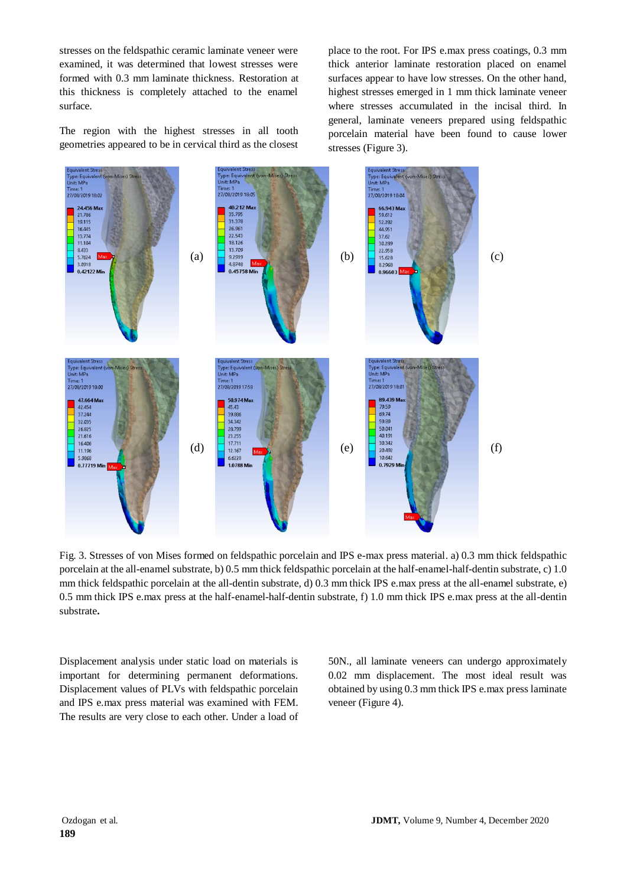stresses on the feldspathic ceramic laminate veneer were examined, it was determined that lowest stresses were formed with 0.3 mm laminate thickness. Restoration at this thickness is completely attached to the enamel surface.

The region with the highest stresses in all tooth geometries appeared to be in cervical third as the closest

place to the root. For IPS e.max press coatings, 0.3 mm thick anterior laminate restoration placed on enamel surfaces appear to have low stresses. On the other hand, highest stresses emerged in 1 mm thick laminate veneer where stresses accumulated in the incisal third. In general, laminate veneers prepared using feldspathic porcelain material have been found to cause lower stresses (Figure 3).



Fig. 3. Stresses of von Mises formed on feldspathic porcelain and IPS e-max press material. a) 0.3 mm thick feldspathic porcelain at the all-enamel substrate, b) 0.5 mm thick feldspathic porcelain at the half-enamel-half-dentin substrate, c) 1.0 mm thick feldspathic porcelain at the all-dentin substrate, d) 0.3 mm thick IPS e.max press at the all-enamel substrate, e) 0.5 mm thick IPS e.max press at the half-enamel-half-dentin substrate, f) 1.0 mm thick IPS e.max press at the all-dentin substrate**.**

Displacement analysis under static load on materials is important for determining permanent deformations. Displacement values of PLVs with feldspathic porcelain and IPS e.max press material was examined with FEM. The results are very close to each other. Under a load of 50N., all laminate veneers can undergo approximately 0.02 mm displacement. The most ideal result was obtained by using 0.3 mm thick IPS e.max press laminate veneer (Figure 4).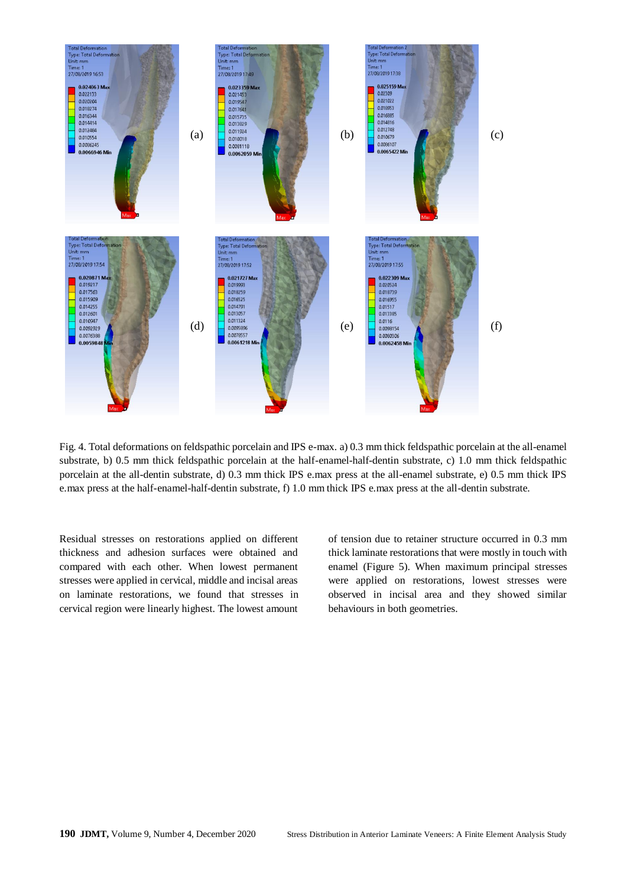

Fig. 4. Total deformations on feldspathic porcelain and IPS e-max. a) 0.3 mm thick feldspathic porcelain at the all-enamel substrate, b) 0.5 mm thick feldspathic porcelain at the half-enamel-half-dentin substrate, c) 1.0 mm thick feldspathic porcelain at the all-dentin substrate, d) 0.3 mm thick IPS e.max press at the all-enamel substrate, e) 0.5 mm thick IPS e.max press at the half-enamel-half-dentin substrate, f) 1.0 mm thick IPS e.max press at the all-dentin substrate.

Residual stresses on restorations applied on different thickness and adhesion surfaces were obtained and compared with each other. When lowest permanent stresses were applied in cervical, middle and incisal areas on laminate restorations, we found that stresses in cervical region were linearly highest. The lowest amount of tension due to retainer structure occurred in 0.3 mm thick laminate restorations that were mostly in touch with enamel (Figure 5). When maximum principal stresses were applied on restorations, lowest stresses were observed in incisal area and they showed similar behaviours in both geometries.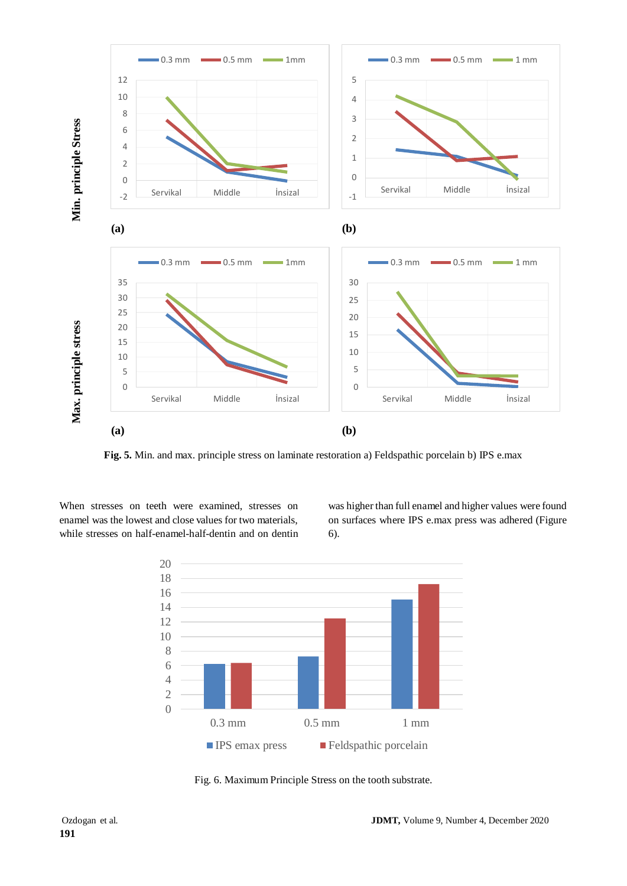

**Fig. 5.** Min. and max. principle stress on laminate restoration a) Feldspathic porcelain b) IPS e.max

When stresses on teeth were examined, stresses on enamel was the lowest and close values for two materials, while stresses on half-enamel-half-dentin and on dentin was higher than full enamel and higher values were found on surfaces where IPS e.max press was adhered (Figure 6).



Fig. 6. Maximum Principle Stress on the tooth substrate.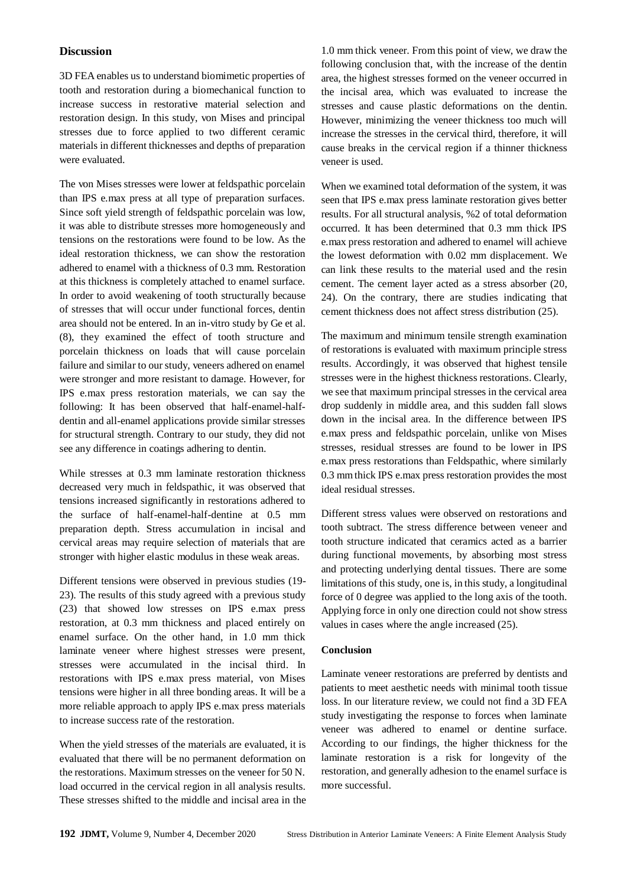#### **Discussion**

3D FEA enables us to understand biomimetic properties of tooth and restoration during a biomechanical function to increase success in restorative material selection and restoration design. In this study, von Mises and principal stresses due to force applied to two different ceramic materials in different thicknesses and depths of preparation were evaluated.

The von Mises stresses were lower at feldspathic porcelain than IPS e.max press at all type of preparation surfaces. Since soft yield strength of feldspathic porcelain was low, it was able to distribute stresses more homogeneously and tensions on the restorations were found to be low. As the ideal restoration thickness, we can show the restoration adhered to enamel with a thickness of 0.3 mm. Restoration at this thickness is completely attached to enamel surface. In order to avoid weakening of tooth structurally because of stresses that will occur under functional forces, dentin area should not be entered. In an in-vitro study by Ge et al. (8), they examined the effect of tooth structure and porcelain thickness on loads that will cause porcelain failure and similar to our study, veneers adhered on enamel were stronger and more resistant to damage. However, for IPS e.max press restoration materials, we can say the following: It has been observed that half-enamel-halfdentin and all-enamel applications provide similar stresses for structural strength. Contrary to our study, they did not see any difference in coatings adhering to dentin.

While stresses at 0.3 mm laminate restoration thickness decreased very much in feldspathic, it was observed that tensions increased significantly in restorations adhered to the surface of half-enamel-half-dentine at 0.5 mm preparation depth. Stress accumulation in incisal and cervical areas may require selection of materials that are stronger with higher elastic modulus in these weak areas.

Different tensions were observed in previous studies (19- 23). The results of this study agreed with a previous study (23) that showed low stresses on IPS e.max press restoration, at 0.3 mm thickness and placed entirely on enamel surface. On the other hand, in 1.0 mm thick laminate veneer where highest stresses were present, stresses were accumulated in the incisal third. In restorations with IPS e.max press material, von Mises tensions were higher in all three bonding areas. It will be a more reliable approach to apply IPS e.max press materials to increase success rate of the restoration.

When the yield stresses of the materials are evaluated, it is evaluated that there will be no permanent deformation on the restorations. Maximum stresses on the veneer for 50 N. load occurred in the cervical region in all analysis results. These stresses shifted to the middle and incisal area in the 1.0 mm thick veneer. From this point of view, we draw the following conclusion that, with the increase of the dentin area, the highest stresses formed on the veneer occurred in the incisal area, which was evaluated to increase the stresses and cause plastic deformations on the dentin. However, minimizing the veneer thickness too much will increase the stresses in the cervical third, therefore, it will cause breaks in the cervical region if a thinner thickness veneer is used.

When we examined total deformation of the system, it was seen that IPS e.max press laminate restoration gives better results. For all structural analysis, %2 of total deformation occurred. It has been determined that 0.3 mm thick IPS e.max press restoration and adhered to enamel will achieve the lowest deformation with 0.02 mm displacement. We can link these results to the material used and the resin cement. The cement layer acted as a stress absorber (20, 24). On the contrary, there are studies indicating that cement thickness does not affect stress distribution (25).

The maximum and minimum tensile strength examination of restorations is evaluated with maximum principle stress results. Accordingly, it was observed that highest tensile stresses were in the highest thickness restorations. Clearly, we see that maximum principal stresses in the cervical area drop suddenly in middle area, and this sudden fall slows down in the incisal area. In the difference between IPS e.max press and feldspathic porcelain, unlike von Mises stresses, residual stresses are found to be lower in IPS e.max press restorations than Feldspathic, where similarly 0.3 mm thick IPS e.max press restoration provides the most ideal residual stresses.

Different stress values were observed on restorations and tooth subtract. The stress difference between veneer and tooth structure indicated that ceramics acted as a barrier during functional movements, by absorbing most stress and protecting underlying dental tissues. There are some limitations of this study, one is, in this study, a longitudinal force of 0 degree was applied to the long axis of the tooth. Applying force in only one direction could not show stress values in cases where the angle increased (25).

#### **Conclusion**

Laminate veneer restorations are preferred by dentists and patients to meet aesthetic needs with minimal tooth tissue loss. In our literature review, we could not find a 3D FEA study investigating the response to forces when laminate veneer was adhered to enamel or dentine surface. According to our findings, the higher thickness for the laminate restoration is a risk for longevity of the restoration, and generally adhesion to the enamel surface is more successful.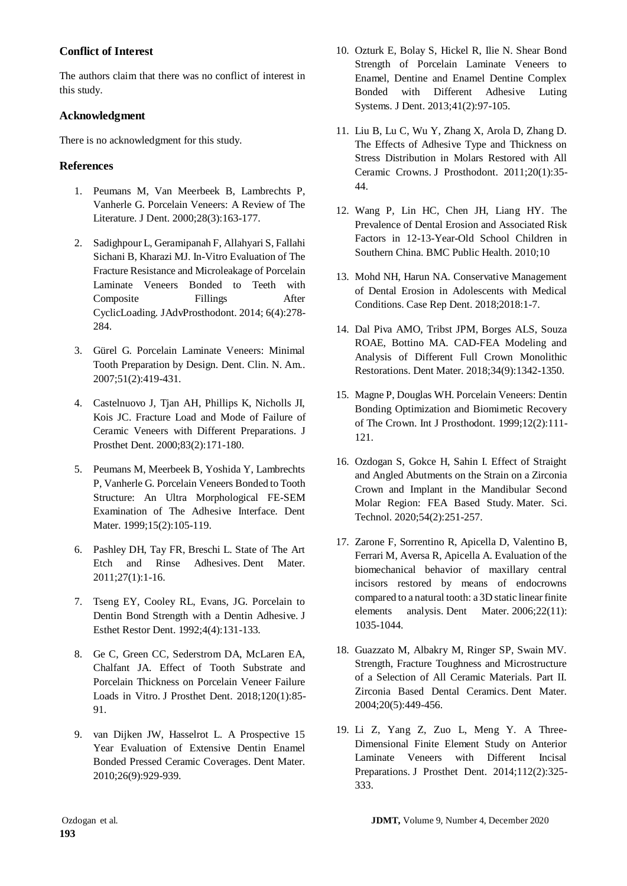## **Conflict of Interest**

The authors claim that there was no conflict of interest in this study.

## **Acknowledgment**

There is no acknowledgment for this study.

## **References**

- 1. Peumans M, Van Meerbeek B, Lambrechts P, Vanherle G. Porcelain Veneers: A Review of The Literature. J Dent. 2000;28(3):163-177.
- 2. Sadighpour L, Geramipanah F, Allahyari S, Fallahi Sichani B, Kharazi MJ. In-Vitro Evaluation of The Fracture Resistance and Microleakage of Porcelain Laminate Veneers Bonded to Teeth with Composite Fillings After CyclicLoading. JAdvProsthodont. 2014; 6(4):278- 284.
- 3. Gürel G. Porcelain Laminate Veneers: Minimal Tooth Preparation by Design. Dent. Clin. N. Am.. 2007;51(2):419-431.
- 4. Castelnuovo J, Tjan AH, Phillips K, Nicholls JI, Kois JC. Fracture Load and Mode of Failure of Ceramic Veneers with Different Preparations. J Prosthet Dent. 2000;83(2):171-180.
- 5. Peumans M, Meerbeek B, Yoshida Y, Lambrechts P, Vanherle G. Porcelain Veneers Bonded to Tooth Structure: An Ultra Morphological FE-SEM Examination of The Adhesive Interface. Dent Mater. 1999;15(2):105-119.
- 6. Pashley DH, Tay FR, Breschi L. State of The Art Etch and Rinse Adhesives. Dent Mater. 2011;27(1):1-16.
- 7. Tseng EY, Cooley RL, Evans, JG. Porcelain to Dentin Bond Strength with a Dentin Adhesive. J Esthet Restor Dent. 1992;4(4):131-133.
- 8. Ge C, Green CC, Sederstrom DA, McLaren EA, Chalfant JA. Effect of Tooth Substrate and Porcelain Thickness on Porcelain Veneer Failure Loads in Vitro. J Prosthet Dent. 2018;120(1):85- 91.
- 9. van Dijken JW, Hasselrot L. A Prospective 15 Year Evaluation of Extensive Dentin Enamel Bonded Pressed Ceramic Coverages. Dent Mater. 2010;26(9):929-939.
- 10. Ozturk E, Bolay S, Hickel R, Ilie N. Shear Bond Strength of Porcelain Laminate Veneers to Enamel, Dentine and Enamel Dentine Complex Bonded with Different Adhesive Luting Systems. J Dent. 2013;41(2):97-105.
- 11. Liu B, Lu C, Wu Y, Zhang X, Arola D, Zhang D. The Effects of Adhesive Type and Thickness on Stress Distribution in Molars Restored with All Ceramic Crowns. J Prosthodont. 2011;20(1):35- 44.
- 12. Wang P, Lin HC, Chen JH, Liang HY. The Prevalence of Dental Erosion and Associated Risk Factors in 12-13-Year-Old School Children in Southern China. BMC Public Health. 2010;10
- 13. Mohd NH, Harun NA. Conservative Management of Dental Erosion in Adolescents with Medical Conditions. Case Rep Dent. 2018;2018:1-7.
- 14. Dal Piva AMO, Tribst JPM, Borges ALS, Souza ROAE, Bottino MA. CAD-FEA Modeling and Analysis of Different Full Crown Monolithic Restorations. Dent Mater. 2018;34(9):1342-1350.
- 15. Magne P, Douglas WH. Porcelain Veneers: Dentin Bonding Optimization and Biomimetic Recovery of The Crown. Int J Prosthodont. 1999;12(2):111- 121.
- 16. Ozdogan S, Gokce H, Sahin I. Effect of Straight and Angled Abutments on the Strain on a Zirconia Crown and Implant in the Mandibular Second Molar Region: FEA Based Study. Mater. Sci. Technol. 2020;54(2):251-257.
- 17. Zarone F, Sorrentino R, Apicella D, Valentino B, Ferrari M, Aversa R, Apicella A. Evaluation of the biomechanical behavior of maxillary central incisors restored by means of endocrowns compared to a natural tooth: a 3D static linear finite elements analysis. Dent Mater. 2006;22(11): 1035-1044.
- 18. Guazzato M, Albakry M, Ringer SP, Swain MV. Strength, Fracture Toughness and Microstructure of a Selection of All Ceramic Materials. Part II. Zirconia Based Dental Ceramics. Dent Mater. 2004;20(5):449-456.
- 19. Li Z, Yang Z, Zuo L, Meng Y. A Three-Dimensional Finite Element Study on Anterior Laminate Veneers with Different Incisal Preparations. J Prosthet Dent. 2014;112(2):325- 333.